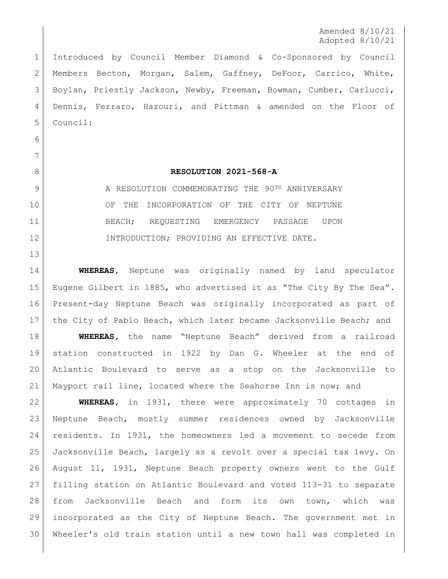Amended 8/10/21 Adopted 8/10/21

 Introduced by Council Member Diamond & Co-Sponsored by Council Members Becton, Morgan, Salem, Gaffney, DeFoor, Carrico, White, 3 Boylan, Priestly Jackson, Newby, Freeman, Bowman, Cumber, Carlucci, Dennis, Ferraro, Hazouri, and Pittman & amended on the Floor of Council:

 

## **RESOLUTION 2021-568-A**

9 A RESOLUTION COMMEMORATING THE 90<sup>TH</sup> ANNIVERSARY 10 OF THE INCORPORATION OF THE CITY OF NEPTUNE BEACH; REQUESTING EMERGENCY PASSAGE UPON 12 INTRODUCTION; PROVIDING AN EFFECTIVE DATE.

 **WHEREAS,** Neptune was originally named by land speculator Eugene Gilbert in 1885, who advertised it as "The City By The Sea". Present-day Neptune Beach was originally incorporated as part of the City of Pablo Beach, which later became Jacksonville Beach; and **WHEREAS,** the name "Neptune Beach" derived from a railroad station constructed in 1922 by Dan G. Wheeler at the end of Atlantic Boulevard to serve as a stop on the Jacksonville to Mayport rail line, located where the Seahorse Inn is now; and

 **WHEREAS,** in 1931, there were approximately 70 cottages in Neptune Beach, mostly summer residences owned by Jacksonville residents. In 1931, the homeowners led a movement to secede from Jacksonville Beach, largely as a revolt over a special tax levy. On August 11, 1931, Neptune Beach property owners went to the Gulf filling station on Atlantic Boulevard and voted 113-31 to separate from Jacksonville Beach and form its own town, which was incorporated as the City of Neptune Beach. The government met in Wheeler's old train station until a new town hall was completed in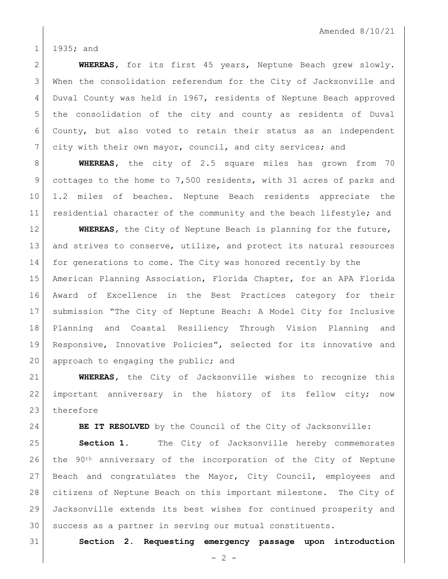1 1935; and

 **WHEREAS,** for its first 45 years, Neptune Beach grew slowly. When the consolidation referendum for the City of Jacksonville and Duval County was held in 1967, residents of Neptune Beach approved the consolidation of the city and county as residents of Duval County, but also voted to retain their status as an independent city with their own mayor, council, and city services; and

 **WHEREAS,** the city of 2.5 square miles has grown from 70 9 cottages to the home to 7,500 residents, with 31 acres of parks and 1.2 miles of beaches. Neptune Beach residents appreciate the 11 residential character of the community and the beach lifestyle; and

 **WHEREAS,** the City of Neptune Beach is planning for the future, 13 and strives to conserve, utilize, and protect its natural resources for generations to come. The City was honored recently by the American Planning Association, Florida Chapter, for an APA Florida Award of Excellence in the Best Practices category for their submission "The City of Neptune Beach: A Model City for Inclusive Planning and Coastal Resiliency Through Vision Planning and Responsive, Innovative Policies", selected for its innovative and 20 approach to engaging the public; and

 **WHEREAS,** the City of Jacksonville wishes to recognize this important anniversary in the history of its fellow city; now 23 therefore

**BE IT RESOLVED** by the Council of the City of Jacksonville:

 **Section 1.** The City of Jacksonville hereby commemorates the  $90th$  anniversary of the incorporation of the City of Neptune Beach and congratulates the Mayor, City Council, employees and citizens of Neptune Beach on this important milestone. The City of Jacksonville extends its best wishes for continued prosperity and 30 success as a partner in serving our mutual constituents.

**Section 2. Requesting emergency passage upon introduction**